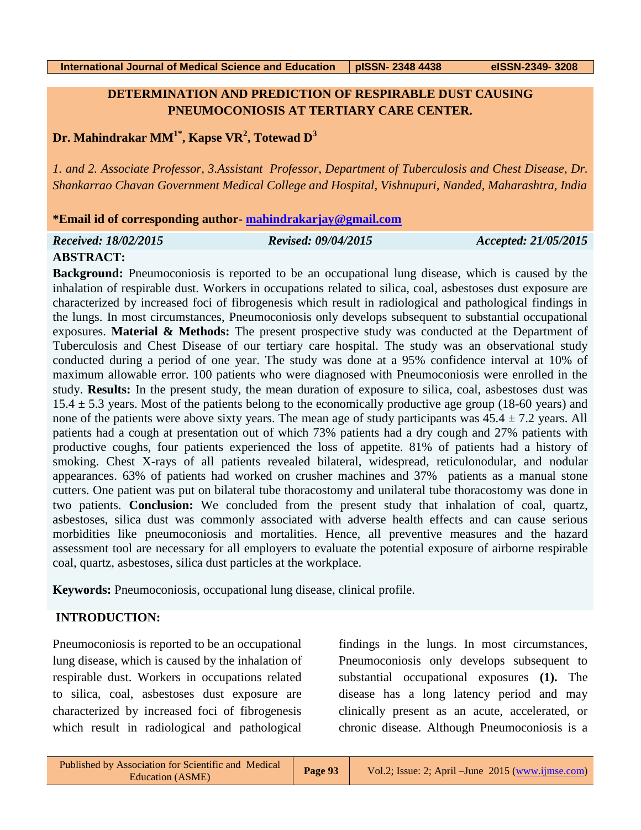## **DETERMINATION AND PREDICTION OF RESPIRABLE DUST CAUSING PNEUMOCONIOSIS AT TERTIARY CARE CENTER.**

# **Dr. Mahindrakar MM1\* , Kapse VR<sup>2</sup> , Totewad D 3**

*1. and 2. Associate Professor, 3.Assistant Professor, Department of Tuberculosis and Chest Disease, Dr. Shankarrao Chavan Government Medical College and Hospital, Vishnupuri, Nanded, Maharashtra, India*

#### **\*Email id of corresponding author- [mahindrakarjay@gmail.com](mailto:mahindrakarjay@gmail.com)**

| Received: 18/02/2015 | <b>Revised: 09/04/2015</b><br>Accepted: 21/05/2015 |
|----------------------|----------------------------------------------------|
|----------------------|----------------------------------------------------|

#### **ABSTRACT:**

**Background:** Pneumoconiosis is reported to be an occupational lung disease, which is caused by the inhalation of respirable dust. Workers in occupations related to silica, coal, asbestoses dust exposure are characterized by increased foci of fibrogenesis which result in radiological and pathological findings in the lungs. In most circumstances, Pneumoconiosis only develops subsequent to substantial occupational exposures. **Material & Methods:** The present prospective study was conducted at the Department of Tuberculosis and Chest Disease of our tertiary care hospital. The study was an observational study conducted during a period of one year. The study was done at a 95% confidence interval at 10% of maximum allowable error. 100 patients who were diagnosed with Pneumoconiosis were enrolled in the study. **Results:** In the present study, the mean duration of exposure to silica, coal, asbestoses dust was  $15.4 \pm 5.3$  years. Most of the patients belong to the economically productive age group (18-60 years) and none of the patients were above sixty years. The mean age of study participants was  $45.4 \pm 7.2$  years. All patients had a cough at presentation out of which 73% patients had a dry cough and 27% patients with productive coughs, four patients experienced the loss of appetite. 81% of patients had a history of smoking. Chest X-rays of all patients revealed bilateral, widespread, reticulonodular, and nodular appearances. 63% of patients had worked on crusher machines and 37% patients as a manual stone cutters. One patient was put on bilateral tube thoracostomy and unilateral tube thoracostomy was done in two patients. **Conclusion:** We concluded from the present study that inhalation of coal, quartz, asbestoses, silica dust was commonly associated with adverse health effects and can cause serious morbidities like pneumoconiosis and mortalities. Hence, all preventive measures and the hazard assessment tool are necessary for all employers to evaluate the potential exposure of airborne respirable coal, quartz, asbestoses, silica dust particles at the workplace.

**Keywords:** Pneumoconiosis, occupational lung disease, clinical profile.

## **INTRODUCTION:**

Pneumoconiosis is reported to be an occupational lung disease, which is caused by the inhalation of respirable dust. Workers in occupations related to silica, coal, asbestoses dust exposure are characterized by increased foci of fibrogenesis which result in radiological and pathological

findings in the lungs. In most circumstances, Pneumoconiosis only develops subsequent to substantial occupational exposures **(1).** The disease has a long latency period and may clinically present as an acute, accelerated, or chronic disease. Although Pneumoconiosis is a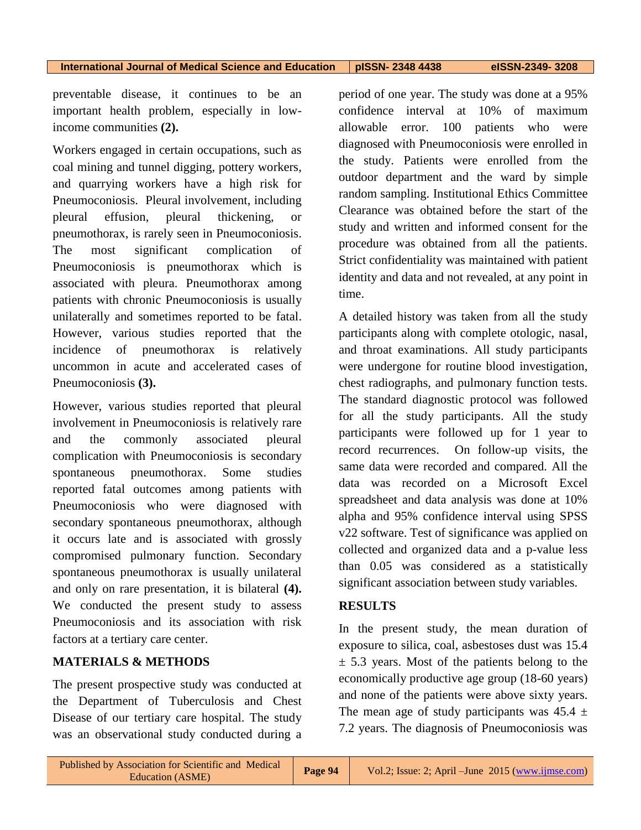preventable disease, it continues to be an important health problem, especially in lowincome communities **(2).**

Workers engaged in certain occupations, such as coal mining and tunnel digging, pottery workers, and quarrying workers have a high risk for Pneumoconiosis. Pleural involvement, including pleural effusion, pleural thickening, or pneumothorax, is rarely seen in Pneumoconiosis. The most significant complication of Pneumoconiosis is pneumothorax which is associated with pleura. Pneumothorax among patients with chronic Pneumoconiosis is usually unilaterally and sometimes reported to be fatal. However, various studies reported that the incidence of pneumothorax is relatively uncommon in acute and accelerated cases of Pneumoconiosis **(3).**

However, various studies reported that pleural involvement in Pneumoconiosis is relatively rare and the commonly associated pleural complication with Pneumoconiosis is secondary spontaneous pneumothorax. Some studies reported fatal outcomes among patients with Pneumoconiosis who were diagnosed with secondary spontaneous pneumothorax, although it occurs late and is associated with grossly compromised pulmonary function. Secondary spontaneous pneumothorax is usually unilateral and only on rare presentation, it is bilateral **(4).** We conducted the present study to assess Pneumoconiosis and its association with risk factors at a tertiary care center.

#### **MATERIALS & METHODS**

The present prospective study was conducted at the Department of Tuberculosis and Chest Disease of our tertiary care hospital. The study was an observational study conducted during a period of one year. The study was done at a 95% confidence interval at 10% of maximum allowable error. 100 patients who were diagnosed with Pneumoconiosis were enrolled in the study. Patients were enrolled from the outdoor department and the ward by simple random sampling. Institutional Ethics Committee Clearance was obtained before the start of the study and written and informed consent for the procedure was obtained from all the patients. Strict confidentiality was maintained with patient identity and data and not revealed, at any point in time.

A detailed history was taken from all the study participants along with complete otologic, nasal, and throat examinations. All study participants were undergone for routine blood investigation, chest radiographs, and pulmonary function tests. The standard diagnostic protocol was followed for all the study participants. All the study participants were followed up for 1 year to record recurrences. On follow-up visits, the same data were recorded and compared. All the data was recorded on a Microsoft Excel spreadsheet and data analysis was done at 10% alpha and 95% confidence interval using SPSS v22 software. Test of significance was applied on collected and organized data and a p-value less than 0.05 was considered as a statistically significant association between study variables.

#### **RESULTS**

In the present study, the mean duration of exposure to silica, coal, asbestoses dust was 15.4  $\pm$  5.3 years. Most of the patients belong to the economically productive age group (18-60 years) and none of the patients were above sixty years. The mean age of study participants was  $45.4 \pm$ 7.2 years. The diagnosis of Pneumoconiosis was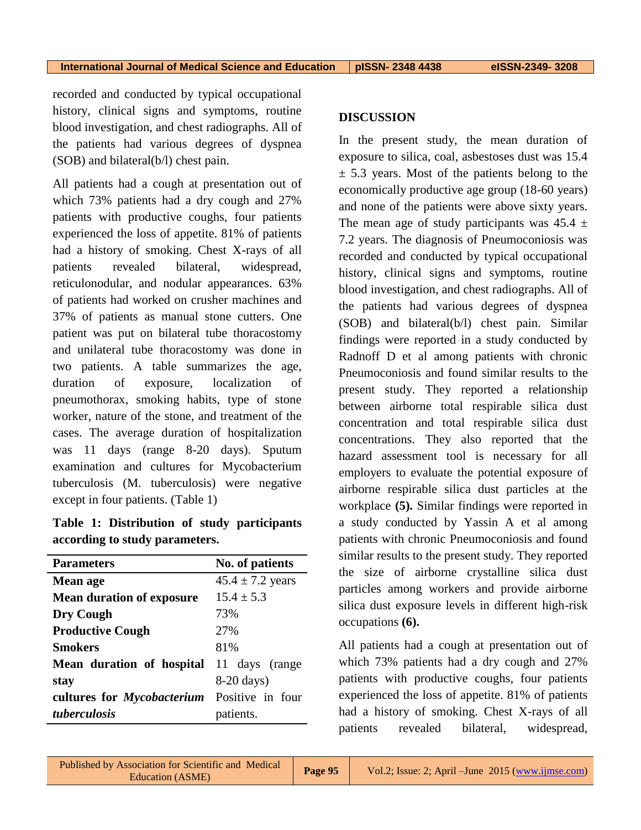recorded and conducted by typical occupational history, clinical signs and symptoms, routine blood investigation, and chest radiographs. All of the patients had various degrees of dyspnea (SOB) and bilateral(b/l) chest pain.

All patients had a cough at presentation out of which 73% patients had a dry cough and 27% patients with productive coughs, four patients experienced the loss of appetite. 81% of patients had a history of smoking. Chest X-rays of all patients revealed bilateral, widespread, reticulonodular, and nodular appearances. 63% of patients had worked on crusher machines and 37% of patients as manual stone cutters. One patient was put on bilateral tube thoracostomy and unilateral tube thoracostomy was done in two patients. A table summarizes the age, duration of exposure, localization of pneumothorax, smoking habits, type of stone worker, nature of the stone, and treatment of the cases. The average duration of hospitalization was 11 days (range 8-20 days). Sputum examination and cultures for Mycobacterium tuberculosis (M. tuberculosis) were negative except in four patients. (Table 1)

|                                |  | Table 1: Distribution of study participants |  |  |  |  |  |
|--------------------------------|--|---------------------------------------------|--|--|--|--|--|
| according to study parameters. |  |                                             |  |  |  |  |  |

| <b>Parameters</b>                 | No. of patients      |  |
|-----------------------------------|----------------------|--|
| Mean age                          | $45.4 \pm 7.2$ years |  |
| <b>Mean duration of exposure</b>  | $15.4 \pm 5.3$       |  |
| Dry Cough                         | 73%                  |  |
| <b>Productive Cough</b>           | 27%                  |  |
| Smokers                           | 81%                  |  |
| Mean duration of hospital         | 11 days (range       |  |
| stay                              | $8-20$ days)         |  |
| cultures for <i>Mycobacterium</i> | Positive in four     |  |
| tuberculosis                      | patients.            |  |

#### **DISCUSSION**

In the present study, the mean duration of exposure to silica, coal, asbestoses dust was 15.4  $\pm$  5.3 years. Most of the patients belong to the economically productive age group (18-60 years) and none of the patients were above sixty years. The mean age of study participants was  $45.4 \pm$ 7.2 years. The diagnosis of Pneumoconiosis was recorded and conducted by typical occupational history, clinical signs and symptoms, routine blood investigation, and chest radiographs. All of the patients had various degrees of dyspnea (SOB) and bilateral(b/l) chest pain. Similar findings were reported in a study conducted by Radnoff D et al among patients with chronic Pneumoconiosis and found similar results to the present study. They reported a relationship between airborne total respirable silica dust concentration and total respirable silica dust concentrations. They also reported that the hazard assessment tool is necessary for all employers to evaluate the potential exposure of airborne respirable silica dust particles at the workplace **(5).** Similar findings were reported in a study conducted by Yassin A et al among patients with chronic Pneumoconiosis and found similar results to the present study. They reported the size of airborne crystalline silica dust particles among workers and provide airborne silica dust exposure levels in different high-risk occupations **(6).**

All patients had a cough at presentation out of which 73% patients had a dry cough and 27% patients with productive coughs, four patients experienced the loss of appetite. 81% of patients had a history of smoking. Chest X-rays of all patients revealed bilateral, widespread,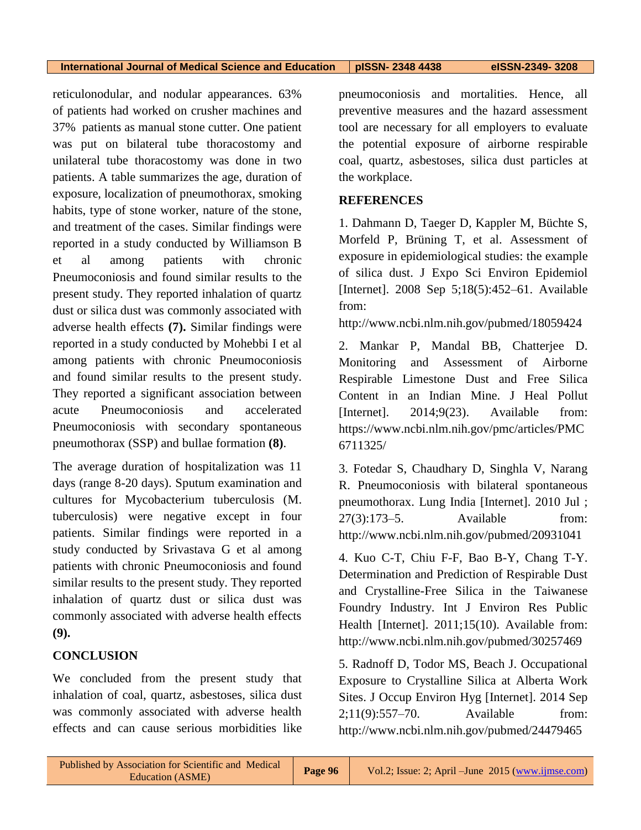**International Journal of Medical Science and Education pISSN- 2348 4438 eISSN-2349- 3208**

reticulonodular, and nodular appearances. 63% of patients had worked on crusher machines and 37% patients as manual stone cutter. One patient was put on bilateral tube thoracostomy and unilateral tube thoracostomy was done in two patients. A table summarizes the age, duration of exposure, localization of pneumothorax, smoking habits, type of stone worker, nature of the stone, and treatment of the cases. Similar findings were reported in a study conducted by Williamson B et al among patients with chronic Pneumoconiosis and found similar results to the present study. They reported inhalation of quartz dust or silica dust was commonly associated with adverse health effects **(7).** Similar findings were reported in a study conducted by Mohebbi I et al among patients with chronic Pneumoconiosis and found similar results to the present study. They reported a significant association between acute Pneumoconiosis and accelerated Pneumoconiosis with secondary spontaneous pneumothorax (SSP) and bullae formation **(8)**.

The average duration of hospitalization was 11 days (range 8-20 days). Sputum examination and cultures for Mycobacterium tuberculosis (M. tuberculosis) were negative except in four patients. Similar findings were reported in a study conducted by Srivastava G et al among patients with chronic Pneumoconiosis and found similar results to the present study. They reported inhalation of quartz dust or silica dust was commonly associated with adverse health effects **(9).**

#### **CONCLUSION**

We concluded from the present study that inhalation of coal, quartz, asbestoses, silica dust was commonly associated with adverse health effects and can cause serious morbidities like

pneumoconiosis and mortalities. Hence, all preventive measures and the hazard assessment tool are necessary for all employers to evaluate the potential exposure of airborne respirable coal, quartz, asbestoses, silica dust particles at the workplace.

#### **REFERENCES**

1. Dahmann D, Taeger D, Kappler M, Büchte S, Morfeld P, Brüning T, et al. Assessment of exposure in epidemiological studies: the example of silica dust. J Expo Sci Environ Epidemiol [Internet]. 2008 Sep 5;18(5):452–61. Available from:

http://www.ncbi.nlm.nih.gov/pubmed/18059424

2. Mankar P, Mandal BB, Chatterjee D. Monitoring and Assessment of Airborne Respirable Limestone Dust and Free Silica Content in an Indian Mine. J Heal Pollut [Internet]. 2014;9(23). Available from: https://www.ncbi.nlm.nih.gov/pmc/articles/PMC 6711325/

3. Fotedar S, Chaudhary D, Singhla V, Narang R. Pneumoconiosis with bilateral spontaneous pneumothorax. Lung India [Internet]. 2010 Jul ; 27(3):173–5. Available from: http://www.ncbi.nlm.nih.gov/pubmed/20931041

4. Kuo C-T, Chiu F-F, Bao B-Y, Chang T-Y. Determination and Prediction of Respirable Dust and Crystalline-Free Silica in the Taiwanese Foundry Industry. Int J Environ Res Public Health [Internet]. 2011;15(10). Available from: http://www.ncbi.nlm.nih.gov/pubmed/30257469

5. Radnoff D, Todor MS, Beach J. Occupational Exposure to Crystalline Silica at Alberta Work Sites. J Occup Environ Hyg [Internet]. 2014 Sep 2;11(9):557–70. Available from: http://www.ncbi.nlm.nih.gov/pubmed/24479465